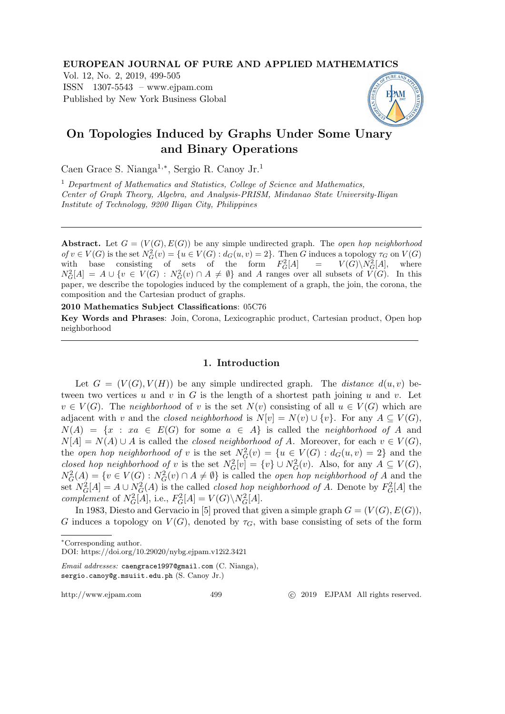#### EUROPEAN JOURNAL OF PURE AND APPLIED MATHEMATICS

Vol. 12, No. 2, 2019, 499-505 ISSN 1307-5543 – www.ejpam.com Published by New York Business Global



# On Topologies Induced by Graphs Under Some Unary and Binary Operations

Caen Grace S. Nianga1,<sup>∗</sup> , Sergio R. Canoy Jr.<sup>1</sup>

 $1$  Department of Mathematics and Statistics, College of Science and Mathematics, Center of Graph Theory, Algebra, and Analysis-PRISM, Mindanao State University-Iligan Institute of Technology, 9200 Iligan City, Philippines

Abstract. Let  $G = (V(G), E(G))$  be any simple undirected graph. The open hop neighborhood of  $v \in V(G)$  is the set  $N_G^2(v) = \{u \in V(G) : d_G(u, v) = 2\}$ . Then G induces a topology  $\tau_G$  on  $V(G)$ with base consisting of sets of the form  $F_G^2$  $V_G^2[A]$  =  $V(G)\backslash N_G^2[A]$ , where  $N_G^2[A] = A \cup \{v \in V(G) : N_G^2(v) \cap A \neq \emptyset\}$  and A ranges over all subsets of  $V(G)$ . In this paper, we describe the topologies induced by the complement of a graph, the join, the corona, the composition and the Cartesian product of graphs.

2010 Mathematics Subject Classifications: 05C76

Key Words and Phrases: Join, Corona, Lexicographic product, Cartesian product, Open hop neighborhood

## 1. Introduction

Let  $G = (V(G), V(H))$  be any simple undirected graph. The *distance*  $d(u, v)$  between two vertices u and v in G is the length of a shortest path joining u and v. Let  $v \in V(G)$ . The neighborhood of v is the set  $N(v)$  consisting of all  $u \in V(G)$  which are adjacent with v and the closed neighborhood is  $N[v] = N(v) \cup \{v\}$ . For any  $A \subseteq V(G)$ ,  $N(A) = \{x : xa \in E(G) \text{ for some } a \in A\}$  is called the neighborhood of A and  $N[A] = N(A) \cup A$  is called the *closed neighborhood of A*. Moreover, for each  $v \in V(G)$ , the open hop neighborhood of v is the set  $N_G^2(v) = \{u \in V(G) : d_G(u,v) = 2\}$  and the closed hop neighborhood of v is the set  $N_G^2[v] = \{v\} \cup N_G^2(v)$ . Also, for any  $A \subseteq V(G)$ ,  $N_G^2(A) = \{v \in V(G) : N_G^2(v) \cap A \neq \emptyset\}$  is called the *open hop neighborhood of A* and the set  $N_G^2[A] = A \cup N_G^2(A)$  is the called *closed hop neighborhood of A*. Denote by  $F_G^2[A]$  the complement of  $N_G^2[A]$ , i.e.,  $F_G^2[A] = V(G) \backslash N_G^2[A]$ .

In 1983, Diesto and Gervacio in [5] proved that given a simple graph  $G = (V(G), E(G)),$ G induces a topology on  $V(G)$ , denoted by  $\tau_G$ , with base consisting of sets of the form

http://www.ejpam.com 499 c 2019 EJPAM All rights reserved.

<sup>∗</sup>Corresponding author.

DOI: https://doi.org/10.29020/nybg.ejpam.v12i2.3421

Email addresses: caengrace1997@gmail.com (C. Nianga), sergio.canoy@g.msuiit.edu.ph (S. Canoy Jr.)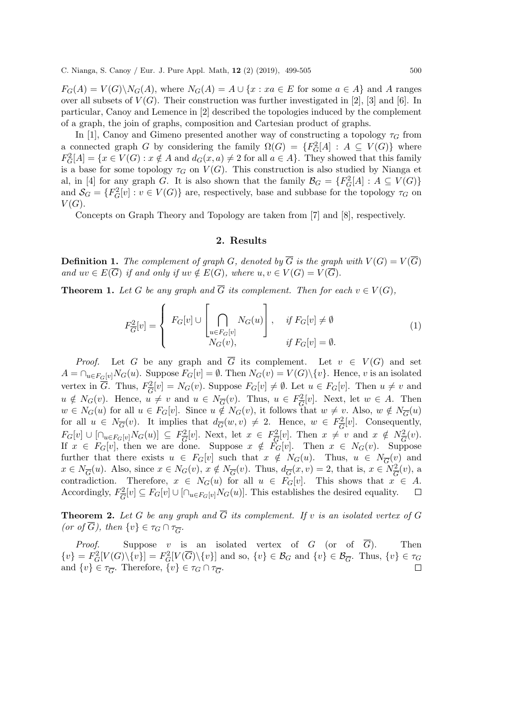$F_G(A) = V(G) \backslash N_G(A)$ , where  $N_G(A) = A \cup \{x : xa \in E$  for some  $a \in A\}$  and A ranges over all subsets of  $V(G)$ . Their construction was further investigated in [2], [3] and [6]. In particular, Canoy and Lemence in [2] described the topologies induced by the complement of a graph, the join of graphs, composition and Cartesian product of graphs.

In [1], Canoy and Gimeno presented another way of constructing a topology  $\tau_G$  from a connected graph G by considering the family  $\Omega(G) = \{F_G^2[A] : A \subseteq V(G)\}\$  where  $F_G^2[A] = \{x \in V(G) : x \notin A \text{ and } d_G(x, a) \neq 2 \text{ for all } a \in A\}.$  They showed that this family is a base for some topology  $\tau_G$  on  $V(G)$ . This construction is also studied by Nianga et al, in [4] for any graph G. It is also shown that the family  $\mathcal{B}_G = \{F_G^2[A] : A \subseteq V(G)\}$ and  $S_G = \{F_G^2[v] : v \in V(G)\}\$  are, respectively, base and subbase for the topology  $\tau_G$  on  $V(G).$ 

Concepts on Graph Theory and Topology are taken from [7] and [8], respectively.

### 2. Results

**Definition 1.** The complement of graph G, denoted by  $\overline{G}$  is the graph with  $V(G) = V(\overline{G})$ and  $uv \in E(\overline{G})$  if and only if  $uv \notin E(G)$ , where  $u, v \in V(G) = V(\overline{G})$ .

**Theorem 1.** Let G be any graph and  $\overline{G}$  its complement. Then for each  $v \in V(G)$ ,

$$
F_G^2[v] = \begin{cases} F_G[v] \cup \left[ \bigcap_{u \in F_G[v]} N_G(u) \right], & \text{if } F_G[v] \neq \emptyset \\ N_G(v), & \text{if } F_G[v] = \emptyset. \end{cases}
$$
(1)

*Proof.* Let G be any graph and  $\overline{G}$  its complement. Let  $v \in V(G)$  and set  $A = \bigcap_{u \in F_G[v]} N_G(u)$ . Suppose  $F_G[v] = \emptyset$ . Then  $N_G(v) = V(G) \setminus \{v\}$ . Hence, v is an isolated vertex in  $\overline{G}$ . Thus,  $F_{\overline{G}}^2$  $E_G^2[v] = N_G(v)$ . Suppose  $F_G[v] \neq \emptyset$ . Let  $u \in F_G[v]$ . Then  $u \neq v$  and  $u \notin N_G(v)$ . Hence,  $u \neq v$  and  $u \in N_{\overline{G}}(v)$ . Thus,  $u \in F_{\overline{G}}^2$  $\frac{d^2}{G}[v]$ . Next, let  $w \in A$ . Then  $w \in N_G(u)$  for all  $u \in F_G[v]$ . Since  $u \notin N_G(v)$ , it follows that  $w \neq v$ . Also,  $w \notin N_{\overline{G}}(u)$ for all  $u \in N_{\overline{G}}(v)$ . It implies that  $d_{\overline{G}}(w, v) \neq 2$ . Hence,  $w \in F_{\overline{G}}^2$  $\frac{C^2}{G}[v]$ . Consequently,  $F_G[v] \cup [\cap_{u \in F_G[v]} N_G(u)] \subseteq F_{\overline{G}}^2$  $\frac{C^2}{G}[v]$ . Next, let  $x \in F_{\overline{G}}^2$  $\frac{d^2}{G}[v]$ . Then  $x \neq v$  and  $x \notin N_{\overline{G}}^2(v)$ . If  $x \in F_G[v]$ , then we are done. Suppose  $x \notin F_G[v]$ . Then  $x \in N_G(v)$ . Suppose further that there exists  $u \in F_G[v]$  such that  $x \notin N_G(u)$ . Thus,  $u \in N_{\overline{G}}(v)$  and  $x \in N_{\overline{G}}(u)$ . Also, since  $x \in N_G(v)$ ,  $x \notin N_{\overline{G}}(v)$ . Thus,  $d_{\overline{G}}(x, v) = 2$ , that is,  $x \in N_{\overline{G}}^2(v)$ , a contradiction. Therefore,  $x \in N_G(u)$  for all  $u \in F_G[v]$ . This shows that  $x \in A$ . Accordingly,  $F_{\overline{C}}^2$  $E_G^2[v] \subseteq F_G[v] \cup [\bigcap_{u \in F_G[v]} N_G(u)].$  This establishes the desired equality.  $\Box$ 

**Theorem 2.** Let G be any graph and  $\overline{G}$  its complement. If v is an isolated vertex of G (or of  $\overline{G}$ ), then  $\{v\} \in \tau_G \cap \tau_{\overline{G}}$ .

*Proof.* Suppose v is an isolated vertex of G (or of  $\overline{G}$ ). Then  $\{v\} = F_G^2[V(G)\setminus\{v\}] = F_G^2[V(\overline{G})\setminus\{v\}]$  and so,  $\{v\} \in \mathcal{B}_G$  and  $\{v\} \in \mathcal{B}_{\overline{G}}$ . Thus,  $\{v\} \in \tau_G$ and  $\{v\} \in \tau_{\overline{G}}$ . Therefore,  $\{v\} \in \tau_G \cap \tau_{\overline{G}}$ .  $\Box$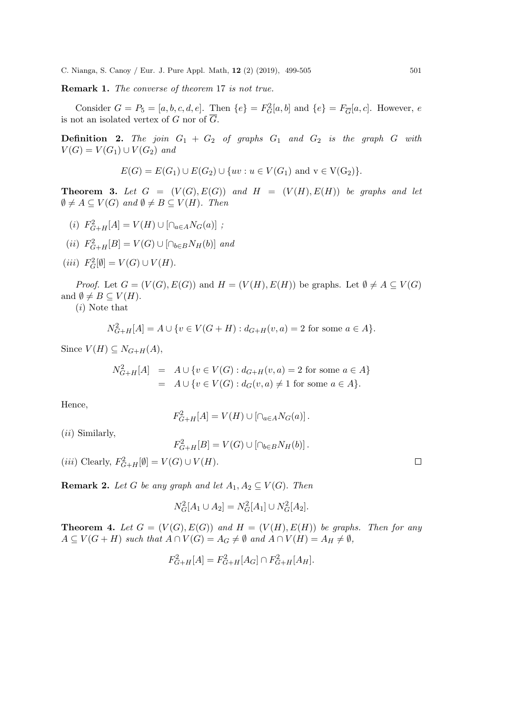Remark 1. The converse of theorem 17 is not true.

Consider  $G = P_5 = [a, b, c, d, e]$ . Then  $\{e\} = F_G^2[a, b]$  and  $\{e\} = F_{\overline{G}}[a, c]$ . However, e is not an isolated vertex of G nor of  $\overline{G}$ .

**Definition 2.** The join  $G_1 + G_2$  of graphs  $G_1$  and  $G_2$  is the graph G with  $V(G) = V(G_1) \cup V(G_2)$  and

$$
E(G) = E(G_1) \cup E(G_2) \cup \{uv : u \in V(G_1) \text{ and } v \in V(G_2)\}.
$$

**Theorem 3.** Let  $G = (V(G), E(G))$  and  $H = (V(H), E(H))$  be graphs and let  $\emptyset \neq A \subseteq V(G)$  and  $\emptyset \neq B \subseteq V(H)$ . Then

- (i)  $F_{G+H}^2[A] = V(H) \cup [\cap_{a \in A} N_G(a)]$ ;
- $(ii)$   $F_{G+H}^{2}[B] = V(G) \cup [\cap_{b \in B} N_H(b)]$  and
- (*iii*)  $F_G^2[\emptyset] = V(G) \cup V(H)$ .

*Proof.* Let  $G = (V(G), E(G))$  and  $H = (V(H), E(H))$  be graphs. Let  $\emptyset \neq A \subseteq V(G)$ and  $\emptyset \neq B \subseteq V(H)$ .

(i) Note that

$$
N_{G+H}^2[A] = A \cup \{ v \in V(G+H) : d_{G+H}(v,a) = 2 \text{ for some } a \in A \}.
$$

Since  $V(H) \subseteq N_{G+H}(A)$ ,

$$
N_{G+H}^2[A] = A \cup \{v \in V(G) : d_{G+H}(v, a) = 2 \text{ for some } a \in A\}
$$
  
=  $A \cup \{v \in V(G) : d_G(v, a) \neq 1 \text{ for some } a \in A\}.$ 

Hence,

$$
F_{G+H}^2[A] = V(H) \cup \left[ \cap_{a \in A} N_G(a) \right].
$$

(ii) Similarly,

$$
F_{G+H}^2[B] = V(G) \cup \left[\cap_{b \in B} N_H(b)\right].
$$

(*iii*) Clearly,  $F_{G+H}^2[\emptyset] = V(G) \cup V(H)$ .

**Remark 2.** Let G be any graph and let  $A_1, A_2 \subseteq V(G)$ . Then

$$
N_G^2[A_1 \cup A_2] = N_G^2[A_1] \cup N_G^2[A_2].
$$

**Theorem 4.** Let  $G = (V(G), E(G))$  and  $H = (V(H), E(H))$  be graphs. Then for any  $A \subseteq V(G+H)$  such that  $A \cap V(G) = A_G \neq \emptyset$  and  $A \cap V(H) = A_H \neq \emptyset$ ,

$$
F_{G+H}^2[A] = F_{G+H}^2[A_G] \cap F_{G+H}^2[A_H].
$$

 $\Box$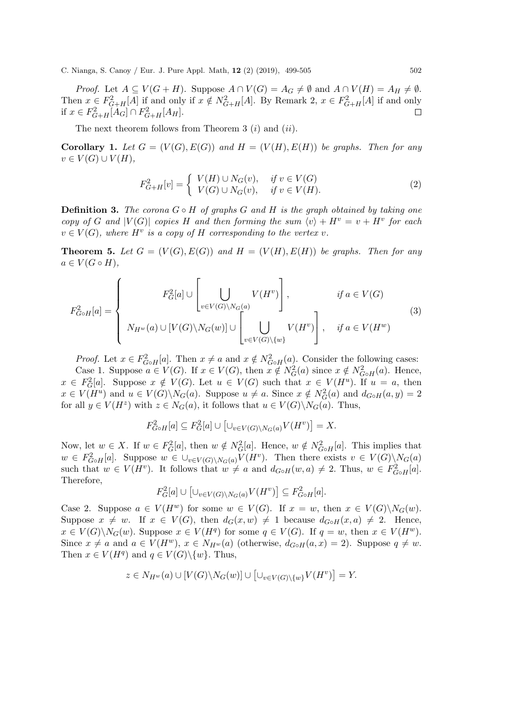*Proof.* Let  $A \subseteq V(G+H)$ . Suppose  $A \cap V(G) = A_G \neq \emptyset$  and  $A \cap V(H) = A_H \neq \emptyset$ . Then  $x \in F_{G+H}^2[A]$  if and only if  $x \notin N_{G+H}^2[A]$ . By Remark 2,  $x \in F_{G+H}^2[A]$  if and only if  $x \in F_{G+H}^2[A_G] \cap F_{G+H}^2[A_H].$  $\Box$ 

The next theorem follows from Theorem 3  $(i)$  and  $(ii)$ .

**Corollary 1.** Let  $G = (V(G), E(G))$  and  $H = (V(H), E(H))$  be graphs. Then for any  $v \in V(G) \cup V(H)$ ,

$$
F_{G+H}^2[v] = \begin{cases} V(H) \cup N_G(v), & \text{if } v \in V(G) \\ V(G) \cup N_G(v), & \text{if } v \in V(H). \end{cases}
$$
 (2)

**Definition 3.** The corona  $G \circ H$  of graphs G and H is the graph obtained by taking one copy of G and  $|V(G)|$  copies H and then forming the sum  $\langle v \rangle + H^v = v + H^v$  for each  $v \in V(G)$ , where  $H^v$  is a copy of H corresponding to the vertex v.

**Theorem 5.** Let  $G = (V(G), E(G))$  and  $H = (V(H), E(H))$  be graphs. Then for any  $a \in V(G \circ H),$ 

$$
F_{G\circ H}^{2}[a] = \begin{cases} F_{G}^{2}[a] \cup \left[ \bigcup_{v \in V(G) \setminus N_{G}(a)} V(H^{v}) \right], & \text{if } a \in V(G) \\ N_{H^{w}}(a) \cup [V(G) \setminus N_{G}(w)] \cup \left[ \bigcup_{v \in V(G) \setminus \{w\}} V(H^{v}) \right], & \text{if } a \in V(H^{w}) \end{cases}
$$
(3)

*Proof.* Let  $x \in F_{G \circ H}^2[a]$ . Then  $x \neq a$  and  $x \notin N_{G \circ H}^2(a)$ . Consider the following cases:

Case 1. Suppose  $a \in V(G)$ . If  $x \in V(G)$ , then  $x \notin N_G^2(a)$  since  $x \notin N_{G \circ H}^2(a)$ . Hence,  $x \in F_G^2[a]$ . Suppose  $x \notin V(G)$ . Let  $u \in V(G)$  such that  $x \in V(H^u)$ . If  $u = a$ , then  $x \in V(H^u)$  and  $u \in V(G) \backslash N_G(a)$ . Suppose  $u \neq a$ . Since  $x \notin N_G^2(a)$  and  $d_{G \circ H}(a, y) = 2$ for all  $y \in V(H^z)$  with  $z \in N_G(a)$ , it follows that  $u \in V(G) \backslash N_G(a)$ . Thus,

$$
F_{G \circ H}^2[a] \subseteq F_G^2[a] \cup \left[\cup_{v \in V(G) \setminus N_G(a)} V(H^v)\right] = X.
$$

Now, let  $w \in X$ . If  $w \in F_G^2[a]$ , then  $w \notin N_G^2[a]$ . Hence,  $w \notin N_{G \circ H}^2[a]$ . This implies that  $w \in F_{G \circ H}^2[a]$ . Suppose  $w \in \bigcup_{v \in V(G) \setminus N_G(a)} V(H^v)$ . Then there exists  $v \in V(G) \setminus N_G(a)$ such that  $w \in V(H^v)$ . It follows that  $w \neq a$  and  $d_{G \circ H}(w, a) \neq 2$ . Thus,  $w \in F_{G \circ H}^2[a]$ . Therefore,

$$
F_G^2[a] \cup \left[\cup_{v \in V(G) \backslash N_G(a)} V(H^v)\right] \subseteq F_{G \circ H}^2[a].
$$

Case 2. Suppose  $a \in V(H^w)$  for some  $w \in V(G)$ . If  $x = w$ , then  $x \in V(G) \backslash N_G(w)$ . Suppose  $x \neq w$ . If  $x \in V(G)$ , then  $d_G(x, w) \neq 1$  because  $d_{G \circ H}(x, a) \neq 2$ . Hence,  $x \in V(G) \backslash N_G(w)$ . Suppose  $x \in V(H^q)$  for some  $q \in V(G)$ . If  $q = w$ , then  $x \in V(H^w)$ . Since  $x \neq a$  and  $a \in V(H^w)$ ,  $x \in N_{H^w}(a)$  (otherwise,  $d_{G \circ H}(a, x) = 2$ ). Suppose  $q \neq w$ . Then  $x \in V(H^q)$  and  $q \in V(G) \setminus \{w\}$ . Thus,

$$
z \in N_{H^w}(a) \cup [V(G) \setminus N_G(w)] \cup [\cup_{v \in V(G) \setminus \{w\}} V(H^v)] = Y.
$$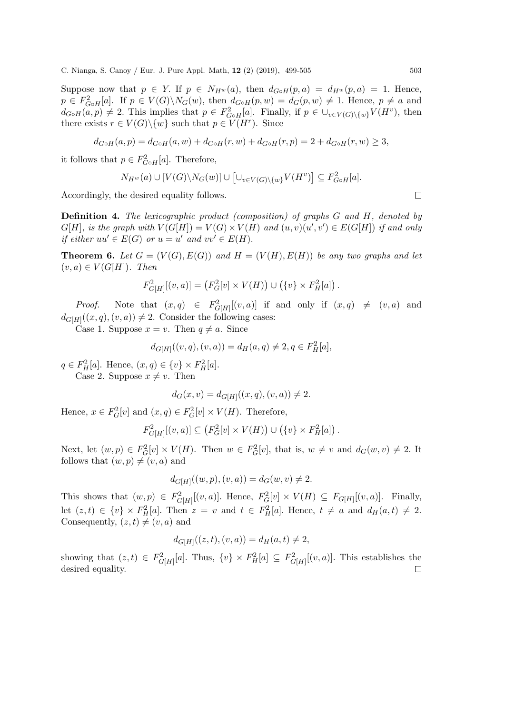Suppose now that  $p \in Y$ . If  $p \in N_{H^w}(a)$ , then  $d_{G \circ H}(p, a) = d_{H^w}(p, a) = 1$ . Hence,  $p \in F_{G \circ H}^2[a]$ . If  $p \in V(G) \setminus N_G(w)$ , then  $d_{G \circ H}(p, w) = d_G(p, w) \neq 1$ . Hence,  $p \neq a$  and  $d_{G \circ H}(a, p) \neq 2$ . This implies that  $p \in F_{G \circ H}^2[a]$ . Finally, if  $p \in \bigcup_{v \in V(G) \setminus \{w\}} V(H^v)$ , then there exists  $r \in V(G) \setminus \{w\}$  such that  $p \in V(H^r)$ . Since

$$
d_{G \circ H}(a, p) = d_{G \circ H}(a, w) + d_{G \circ H}(r, w) + d_{G \circ H}(r, p) = 2 + d_{G \circ H}(r, w) \ge 3,
$$

it follows that  $p \in F_{G \circ H}^2[a]$ . Therefore,

$$
N_{H^w}(a) \cup [V(G) \setminus N_G(w)] \cup \left[ \cup_{v \in V(G) \setminus \{w\}} V(H^v) \right] \subseteq F_{G \circ H}^2[a].
$$

Accordingly, the desired equality follows.

Definition 4. The lexicographic product (composition) of graphs G and H, denoted by  $G[H]$ , is the graph with  $V(G[H]) = V(G) \times V(H)$  and  $(u, v)(u', v') \in E(G[H])$  if and only if either  $uu' \in E(G)$  or  $u = u'$  and  $vv' \in E(H)$ .

**Theorem 6.** Let  $G = (V(G), E(G))$  and  $H = (V(H), E(H))$  be any two graphs and let  $(v, a) \in V(G[H])$ . Then

$$
F_{G[H]}^{2}[(v, a)] = (F_{G}^{2}[v] \times V(H)) \cup (\{v\} \times F_{H}^{2}[a]).
$$

*Proof.* Note that  $(x,q) \in F^2_{G[H]}[(v,a)]$  if and only if  $(x,q) \neq (v,a)$  and  $d_{G[H]}((x,q),(v,a)) \neq 2$ . Consider the following cases:

Case 1. Suppose  $x = v$ . Then  $q \neq a$ . Since

$$
d_{G[H]}((v,q),(v,a)) = d_H(a,q) \neq 2, q \in F_H^2[a],
$$

 $q \in F^2_H[a]$ . Hence,  $(x, q) \in \{v\} \times F^2_H[a]$ . Case 2. Suppose  $x \neq v$ . Then

$$
d_G(x, v) = d_{G[H]}((x, q), (v, a)) \neq 2.
$$

Hence,  $x \in F_G^2[v]$  and  $(x, q) \in F_G^2[v] \times V(H)$ . Therefore,

$$
F_{G[H]}^2[(v,a)] \subseteq (F_G^2[v] \times V(H)) \cup (\{v\} \times F_H^2[a]) .
$$

Next, let  $(w, p) \in F_G^2[v] \times V(H)$ . Then  $w \in F_G^2[v]$ , that is,  $w \neq v$  and  $d_G(w, v) \neq 2$ . It follows that  $(w, p) \neq (v, a)$  and

$$
d_{G[H]}((w, p), (v, a)) = d_G(w, v) \neq 2.
$$

This shows that  $(w, p) \in F_{G[H]}^2[(v, a)]$ . Hence,  $F_G^2[v] \times V(H) \subseteq F_{G[H]}[(v, a)]$ . Finally, let  $(z,t) \in \{v\} \times F^2_H[a]$ . Then  $z = v$  and  $t \in F^2_H[a]$ . Hence,  $t \neq a$  and  $d_H(a,t) \neq 2$ . Consequently,  $(z, t) \neq (v, a)$  and

$$
d_{G[H]}((z,t),(v,a)) = d_H(a,t) \neq 2,
$$

showing that  $(z, t) \in F_{G[H]}^2[a]$ . Thus,  $\{v\} \times F_H^2[a] \subseteq F_{G[H]}^2[(v, a)]$ . This establishes the desired equality. $\Box$ 

 $\Box$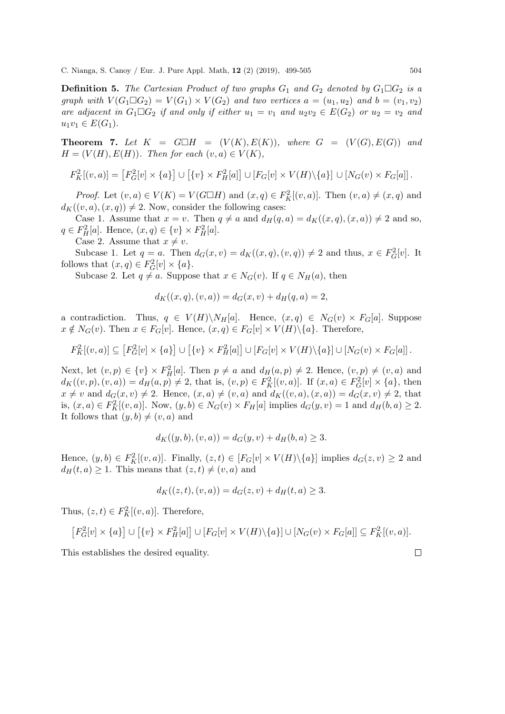**Definition 5.** The Cartesian Product of two graphs  $G_1$  and  $G_2$  denoted by  $G_1 \square G_2$  is a graph with  $V(G_1 \square G_2) = V(G_1) \times V(G_2)$  and two vertices  $a = (u_1, u_2)$  and  $b = (v_1, v_2)$ are adjacent in  $G_1 \Box G_2$  if and only if either  $u_1 = v_1$  and  $u_2v_2 \in E(G_2)$  or  $u_2 = v_2$  and  $u_1v_1 \in E(G_1)$ .

**Theorem 7.** Let  $K = G \square H = (V(K), E(K)),$  where  $G = (V(G), E(G))$  and  $H = (V(H), E(H))$ . Then for each  $(v, a) \in V(K)$ ,

$$
F_K^2[(v,a)] = [F_G^2[v] \times \{a\}] \cup [\{v\} \times F_H^2[a]] \cup [F_G[v] \times V(H) \setminus \{a\}] \cup [N_G(v) \times F_G[a]].
$$

*Proof.* Let  $(v, a) \in V(K) = V(G \square H)$  and  $(x, q) \in F_K^2[(v, a)]$ . Then  $(v, a) \neq (x, q)$  and  $d_K((v, a), (x, q)) \neq 2$ . Now, consider the following cases:

Case 1. Assume that  $x = v$ . Then  $q \neq a$  and  $d_H(q, a) = d_K((x, q), (x, a)) \neq 2$  and so,  $q \in F^2_H[a]$ . Hence,  $(x, q) \in \{v\} \times F^2_H[a]$ .

Case 2. Assume that  $x \neq v$ .

Subcase 1. Let  $q = a$ . Then  $d_G(x, v) = d_K((x, q), (v, q)) \neq 2$  and thus,  $x \in F_G^2[v]$ . It follows that  $(x, q) \in F_G^2[v] \times \{a\}.$ 

Subcase 2. Let  $q \neq a$ . Suppose that  $x \in N_G(v)$ . If  $q \in N_H(a)$ , then

$$
d_K((x, q), (v, a)) = d_G(x, v) + d_H(q, a) = 2,
$$

a contradiction. Thus,  $q \in V(H) \backslash N_H[a]$ . Hence,  $(x, q) \in N_G(v) \times F_G[a]$ . Suppose  $x \notin N_G(v)$ . Then  $x \in F_G[v]$ . Hence,  $(x, q) \in F_G[v] \times V(H) \setminus \{a\}$ . Therefore,

$$
F_K^2[(v,a)] \subseteq [F_G^2[v] \times \{a\}] \cup [\{v\} \times F_H^2[a]] \cup [F_G[v] \times V(H) \setminus \{a\}] \cup [N_G(v) \times F_G[a]]
$$

Next, let  $(v, p) \in \{v\} \times F^2_H[a]$ . Then  $p \neq a$  and  $d_H(a, p) \neq 2$ . Hence,  $(v, p) \neq (v, a)$  and  $d_K((v, p), (v, a)) = d_H(a, p) \neq 2$ , that is,  $(v, p) \in F_K^2[(v, a)]$ . If  $(x, a) \in F_G^2[v] \times \{a\}$ , then  $x \neq v$  and  $d_G(x, v) \neq 2$ . Hence,  $(x, a) \neq (v, a)$  and  $d_K((v, a), (x, a)) = d_G(x, v) \neq 2$ , that is,  $(x, a) \in F_K^2[(v, a)]$ . Now,  $(y, b) \in N_G(v) \times F_H[a]$  implies  $d_G(y, v) = 1$  and  $d_H(b, a) \geq 2$ . It follows that  $(y, b) \neq (v, a)$  and

$$
d_K((y, b), (v, a)) = d_G(y, v) + d_H(b, a) \ge 3.
$$

Hence,  $(y, b) \in F_K^2[(v, a)]$ . Finally,  $(z, t) \in [F_G[v] \times V(H) \setminus \{a\}]$  implies  $d_G(z, v) \geq 2$  and  $d_H(t, a) \geq 1$ . This means that  $(z, t) \neq (v, a)$  and

$$
d_K((z,t),(v,a)) = d_G(z,v) + d_H(t,a) \ge 3.
$$

Thus,  $(z, t) \in F_K^2[(v, a)]$ . Therefore,

$$
\big[F_G^2[v] \times \{a\}\big] \cup \big[\{v\} \times F_H^2[a]\big] \cup [F_G[v] \times V(H) \setminus \{a\}\big] \cup [N_G(v) \times F_G[a]] \subseteq F_K^2[(v,a)].
$$

This establishes the desired equality.

 $\Box$